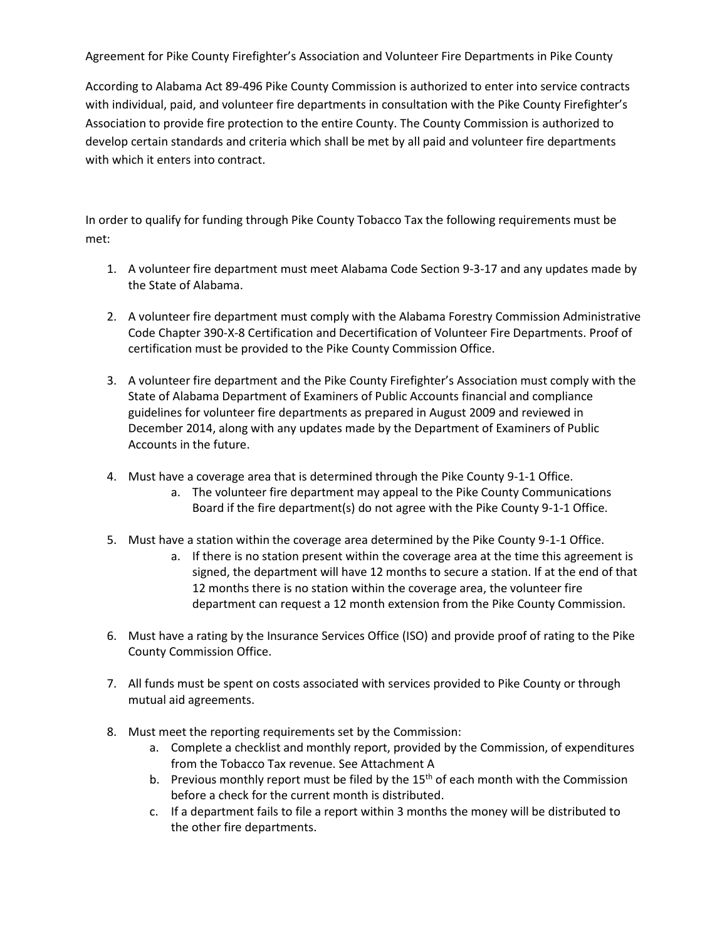Agreement for Pike County Firefighter's Association and Volunteer Fire Departments in Pike County

According to Alabama Act 89-496 Pike County Commission is authorized to enter into service contracts with individual, paid, and volunteer fire departments in consultation with the Pike County Firefighter's Association to provide fire protection to the entire County. The County Commission is authorized to develop certain standards and criteria which shall be met by all paid and volunteer fire departments with which it enters into contract.

In order to qualify for funding through Pike County Tobacco Tax the following requirements must be met:

- 1. A volunteer fire department must meet Alabama Code Section 9-3-17 and any updates made by the State of Alabama.
- 2. A volunteer fire department must comply with the Alabama Forestry Commission Administrative Code Chapter 390-X-8 Certification and Decertification of Volunteer Fire Departments. Proof of certification must be provided to the Pike County Commission Office.
- 3. A volunteer fire department and the Pike County Firefighter's Association must comply with the State of Alabama Department of Examiners of Public Accounts financial and compliance guidelines for volunteer fire departments as prepared in August 2009 and reviewed in December 2014, along with any updates made by the Department of Examiners of Public Accounts in the future.
- 4. Must have a coverage area that is determined through the Pike County 9-1-1 Office.
	- a. The volunteer fire department may appeal to the Pike County Communications Board if the fire department(s) do not agree with the Pike County 9-1-1 Office.
- 5. Must have a station within the coverage area determined by the Pike County 9-1-1 Office.
	- a. If there is no station present within the coverage area at the time this agreement is signed, the department will have 12 months to secure a station. If at the end of that 12 months there is no station within the coverage area, the volunteer fire department can request a 12 month extension from the Pike County Commission.
- 6. Must have a rating by the Insurance Services Office (ISO) and provide proof of rating to the Pike County Commission Office.
- 7. All funds must be spent on costs associated with services provided to Pike County or through mutual aid agreements.
- 8. Must meet the reporting requirements set by the Commission:
	- a. Complete a checklist and monthly report, provided by the Commission, of expenditures from the Tobacco Tax revenue. See Attachment A
	- b. Previous monthly report must be filed by the  $15<sup>th</sup>$  of each month with the Commission before a check for the current month is distributed.
	- c. If a department fails to file a report within 3 months the money will be distributed to the other fire departments.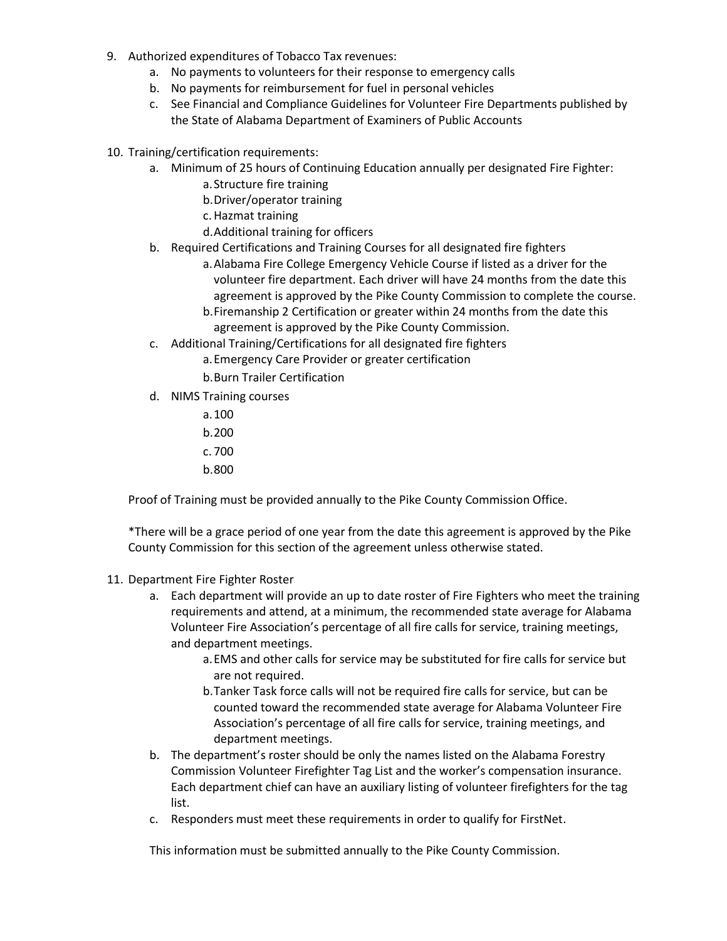- 9. Authorized expenditures of Tobacco Tax revenues:
	- a. No payments to volunteers for their response to emergency calls
	- b. No payments for reimbursement for fuel in personal vehicles
	- c. See Financial and Compliance Guidelines for Volunteer Fire Departments published by the State of Alabama Department of Examiners of Public Accounts
- 10. Training/certification requirements:
	- a. Minimum of 25 hours of Continuing Education annually per designated Fire Fighter:
		- a.Structure fire training
		- b.Driver/operator training
		- c.Hazmat training
		- d.Additional training for officers
	- b. Required Certifications and Training Courses for all designated fire fighters
		- a.Alabama Fire College Emergency Vehicle Course if listed as a driver for the volunteer fire department. Each driver will have 24 months from the date this agreement is approved by the Pike County Commission to complete the course. b.Firemanship 2 Certification or greater within 24 months from the date this
		- agreement is approved by the Pike County Commission.
	- c. Additional Training/Certifications for all designated fire fighters
		- a.Emergency Care Provider or greater certification
		- b.Burn Trailer Certification
	- d. NIMS Training courses
		- a.100
		- b.200
		- c. 700
		- b.800

Proof of Training must be provided annually to the Pike County Commission Office.

\*There will be a grace period of one year from the date this agreement is approved by the Pike County Commission for this section of the agreement unless otherwise stated.

- 11. Department Fire Fighter Roster
	- a. Each department will provide an up to date roster of Fire Fighters who meet the training requirements and attend, at a minimum, the recommended state average for Alabama Volunteer Fire Association's percentage of all fire calls for service, training meetings, and department meetings.
		- a.EMS and other calls for service may be substituted for fire calls for service but are not required.
		- b.Tanker Task force calls will not be required fire calls for service, but can be counted toward the recommended state average for Alabama Volunteer Fire Association's percentage of all fire calls for service, training meetings, and department meetings.
	- b. The department's roster should be only the names listed on the Alabama Forestry Commission Volunteer Firefighter Tag List and the worker's compensation insurance. Each department chief can have an auxiliary listing of volunteer firefighters for the tag list.
	- c. Responders must meet these requirements in order to qualify for FirstNet.

This information must be submitted annually to the Pike County Commission.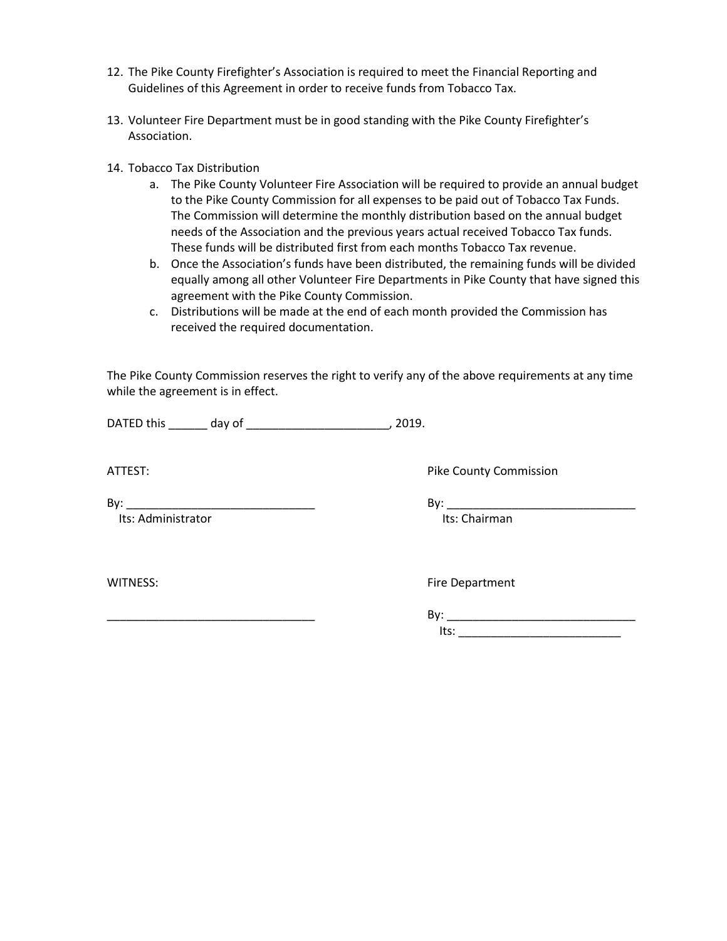- 12. The Pike County Firefighter's Association is required to meet the Financial Reporting and Guidelines of this Agreement in order to receive funds from Tobacco Tax.
- 13. Volunteer Fire Department must be in good standing with the Pike County Firefighter's Association.
- 14. Tobacco Tax Distribution
	- a. The Pike County Volunteer Fire Association will be required to provide an annual budget to the Pike County Commission for all expenses to be paid out of Tobacco Tax Funds. The Commission will determine the monthly distribution based on the annual budget needs of the Association and the previous years actual received Tobacco Tax funds. These funds will be distributed first from each months Tobacco Tax revenue.
	- b. Once the Association's funds have been distributed, the remaining funds will be divided equally among all other Volunteer Fire Departments in Pike County that have signed this agreement with the Pike County Commission.
	- c. Distributions will be made at the end of each month provided the Commission has received the required documentation.

The Pike County Commission reserves the right to verify any of the above requirements at any time while the agreement is in effect.

DATED this \_\_\_\_\_\_ day of \_\_\_\_\_\_\_\_\_\_\_\_\_\_\_\_\_\_\_\_\_\_, 2019.

ATTEST: **Pike County Commission** 

Its: Administrator **Its: Chairman** 

By:  $\Box$ 

WITNESS: WITNESS:

\_\_\_\_\_\_\_\_\_\_\_\_\_\_\_\_\_\_\_\_\_\_\_\_\_\_\_\_\_\_\_\_ By: \_\_\_\_\_\_\_\_\_\_\_\_\_\_\_\_\_\_\_\_\_\_\_\_\_\_\_\_\_ Its: \_\_\_\_\_\_\_\_\_\_\_\_\_\_\_\_\_\_\_\_\_\_\_\_\_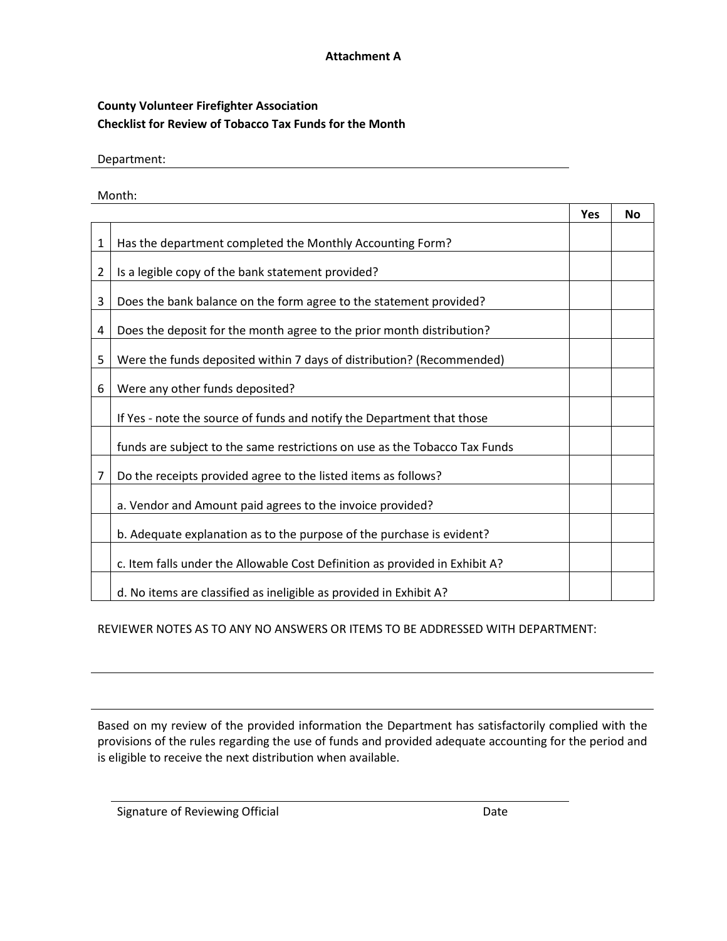## **Attachment A**

## **County Volunteer Firefighter Association Checklist for Review of Tobacco Tax Funds for the Month**

Department:

Month:

|                |                                                                             | Yes | <b>No</b> |
|----------------|-----------------------------------------------------------------------------|-----|-----------|
| $\mathbf{1}$   | Has the department completed the Monthly Accounting Form?                   |     |           |
| $\overline{2}$ | Is a legible copy of the bank statement provided?                           |     |           |
| 3              | Does the bank balance on the form agree to the statement provided?          |     |           |
| 4              | Does the deposit for the month agree to the prior month distribution?       |     |           |
| 5              | Were the funds deposited within 7 days of distribution? (Recommended)       |     |           |
| 6              | Were any other funds deposited?                                             |     |           |
|                | If Yes - note the source of funds and notify the Department that those      |     |           |
|                | funds are subject to the same restrictions on use as the Tobacco Tax Funds  |     |           |
| 7              | Do the receipts provided agree to the listed items as follows?              |     |           |
|                | a. Vendor and Amount paid agrees to the invoice provided?                   |     |           |
|                | b. Adequate explanation as to the purpose of the purchase is evident?       |     |           |
|                | c. Item falls under the Allowable Cost Definition as provided in Exhibit A? |     |           |
|                | d. No items are classified as ineligible as provided in Exhibit A?          |     |           |

REVIEWER NOTES AS TO ANY NO ANSWERS OR ITEMS TO BE ADDRESSED WITH DEPARTMENT:

Based on my review of the provided information the Department has satisfactorily complied with the provisions of the rules regarding the use of funds and provided adequate accounting for the period and is eligible to receive the next distribution when available.

Signature of Reviewing Official Date Date